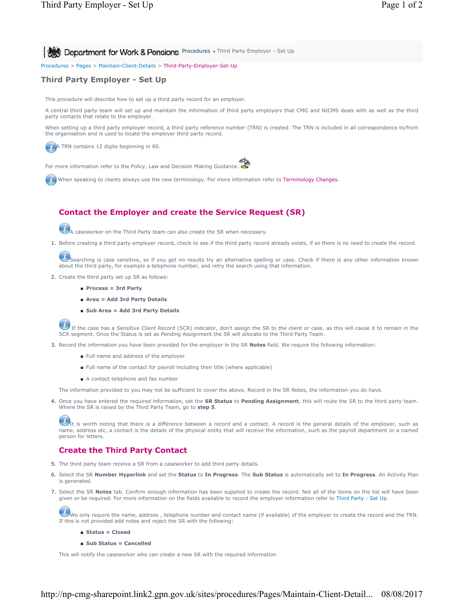Procedures > Pages > Maintain-Client-Details > Third-Party-Employer-Set-Up

## **Third Party Employer - Set Up**

This procedure will describe how to set up a third party record for an employer.

A central third party team will set up and maintain the information of third party employers that CMG and NICMS deals with as well as the third party contacts that relate to the employer.

When setting up a third party employer record, a third party reference number (TRN) is created. The TRN is included in all correspondence to/from the organisation and is used to locate the employer third party record.

A TRN contains 12 digits beginning in 60.

For more information refer to the Policy, Law and Decision Making Guidance.

When speaking to clients always use the new terminology. For more information refer to Terminology Changes.

# **Contact the Employer and create the Service Request (SR)**

A caseworker on the Third Party team can also create the SR when necessary.

1. Before creating a third party employer record, check to see if the third party record already exists, if so there is no need to create the record.

Searching is case sensitive, so if you get no results try an alternative spelling or case. Check if there is any other information known<br>about the third party, for example a telephone number, and retry the search using tha

- 2. Create the third party set up SR as follows:
	- **Process = 3rd Party**
	- **Area = Add 3rd Party Details**
	- **Sub Area = Add 3rd Party Details**

If the case has a Sensitive Client Record (SCR) indicator, don't assign the SR to the client or case, as this will cause it to remain in the SCR segment. Once the Status is set as Pending Assignment the SR will allocate to the Third Party Team.

- 3. Record the information you have been provided for the employer in the SR **Notes** field. We require the following information:
	- Full name and address of the employer
	- Full name of the contact for payroll including their title (where applicable)
	- A contact telephone and fax number

The information provided to you may not be sufficient to cover the above. Record in the SR Notes, the information you do have.

4. Once you have entered the required information, set the SR Status to Pending Assignment, this will route the SR to the third party team. Where the SR is raised by the Third Party Team, go to **step 5**.

 $U_{\rm I}$  is worth noting that there is a difference between a record and a contact. A record is the general details of the employer, such as name, address etc, a contact is the details of the physical entity that will receive the information, such as the payroll department or a named person for letters.

### **Create the Third Party Contact**

- 5. The third party team receive a SR from a caseworker to add third party details.
- Select the SR **Number Hyperlink** and set the **Status** to **In Progress**. The **Sub Status** is automatically set to **In Progress**. An Activity Plan 6. is generated.
- 7. Select the SR Notes tab. Confirm enough information has been supplied to create the record. Not all of the items on the list will have been given or be required. For more information on the fields available to record the employer information refer to Third Party - Set Up.

We only require the name, address, telephone number and contact name (if available) of the employer to create the record and the TRN. If this is not provided add notes and reject the SR with the following:

#### ■ **Status = Closed**

■ **Sub Status = Cancelled**

This will notify the caseworker who can create a new SR with the required information